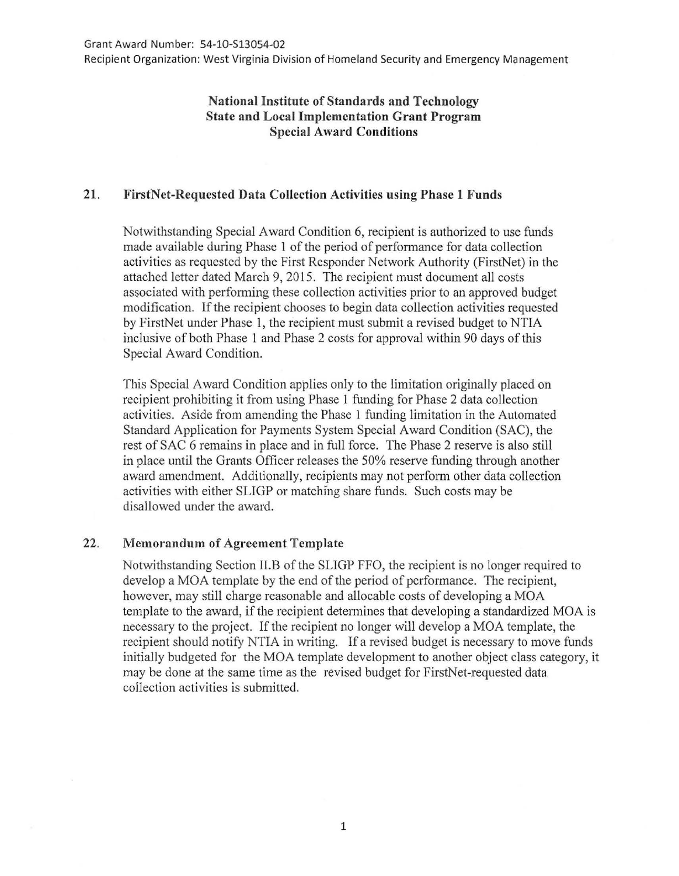Recipient Organization: West Virginia Division of Homeland Security and Emergency Management

## **National Institute of Standards and Technology State and Local Implementation Grant Program Special Award Conditions**

## **21. FirstNet-Requested Data Collection Activities using Phase 1 Funds**

Notwithstanding Special Award Condition 6, recipient is authorized to use funds made available during Phase 1 of the period of performance for data collection activities as requested by the First Responder Network Authority (FirstNet) in the attached letter dated March 9, 2015. The recipient must document all costs associated with performing these collection activities prior to an approved budget modification. If the recipient chooses to begin data collection activities requested by FirstNet under Phase 1, the recipient must submit a revised budget to NTIA inclusive of both Phase 1 and Phase 2 costs for approval within 90 days of this Special Award Condition.

This Special Award Condition applies only to the limitation originally placed on recipient prohibiting it from using Phase 1 funding for Phase 2 data collection activities. Aside from amending the Phase 1 funding limitation in the Automated Standard Application for Payments System Special Award Condition (SAC), the rest of SAC 6 remains in place and in full force. The Phase 2 reserve is also still in place until the Grants Officer releases the 50% reserve funding through another award amendment. Additionally, recipients may not perform other data collection activities with either SLIGP or matching share funds. Such costs may be disallowed under the award.

## 22. **Memorandum of Agreement Template**

Notwithstanding Section II.B of the SLIGP FFO, the recipient is no longer required to develop a MOA template by the end of the period of performance. The recipient, however, may still charge reasonable and allocable costs of developing a MOA template to the award, if the recipient determines that developing a standardized MOA is necessary to the project. If the recipient no longer will develop a MOA template, the recipient should notify NTIA in writing. If a revised budget is necessary to move funds initially budgeted for the MOA template development to another object class category, it may be done at the same time as the revised budget for FirstNet-requested data collection activities is submitted.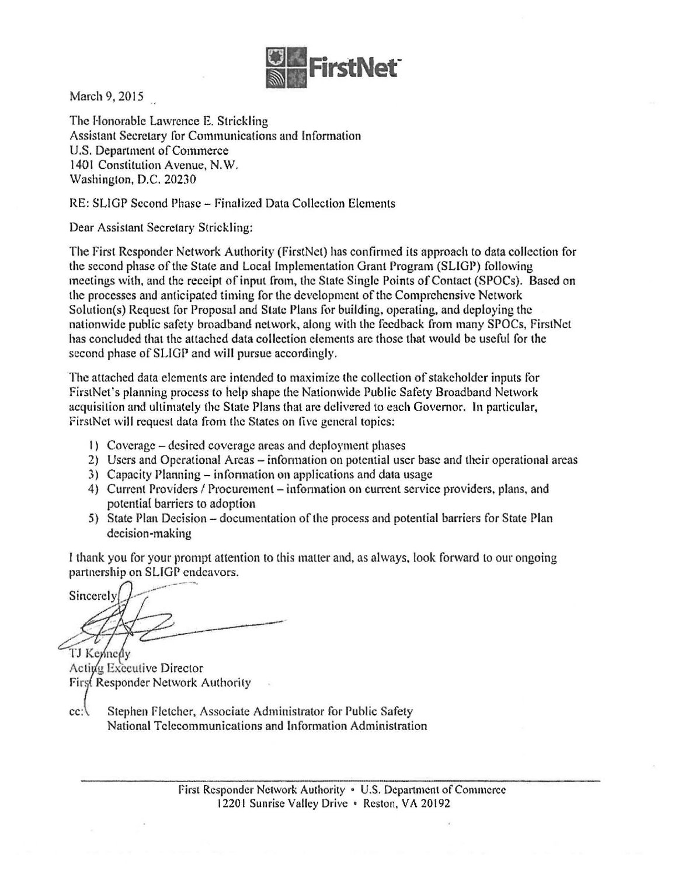

March 9, 2015

The Honorable Lawrence E. Strickling Assistant Secretary for Communications and Information U.S. Department of Commerce 1401 Constitution Avenue, N.W. Washington, D.C. 20230

RE: SLIGP Second Phase- Finalized Data Collection Elements

Dear Assistant Secretary Strickling:

The First Responder Network Authority (FirstNet) has confirmed its approach to data collection for the second phase of the State and Local Implementation Grant Program (SUGP) following meetings with, and the receipt of input from, the State Single Points of Contact (SPOCs). Based on the processes and anticipated timing for the development of the Comprehensive Network Solution(s) Request for Proposal and State Plans for building, operating, and deploying the nationwide public safety broadband network, along with the feedback from many SPOCs, FirstNet has concluded that the attached data collection elements are those that would be useful for the second phase of SLIGP and will pursue accordingly.

The attached data elements are intended to maximize the collection of stakeholder inputs for FirstNet's planning process to help shape the Nationwide Public Safety Broadband Network acquisition and ultimately the Slate Plans thal arc delivered to each Govemor. In particular, FirstNet will request data from the States on five general topics:

- 1) Coverage desired coverage areas and deployment phases
- 2) Users and Operational Areas information on potential user base and their operational areas
- 3) Capacity Planning- information on applications and data usage
- 4) Current Providers / Procurement information on current service providers, plans, and potential barriers to adoption
- 5) State Plan Decision documentation of the process and potential barriers for State Plan decision-making

1 thank you for your prompt attention to this matter and, as always, look forward to our ongoing partnership on SUGP endeavors.

Sincerely

TJ Kennedy Activa Executive Director First Responder Network Authority

cc: Stephen Fletcher, Associate Administrator for Public Safety National Telecommunications and Information Administration